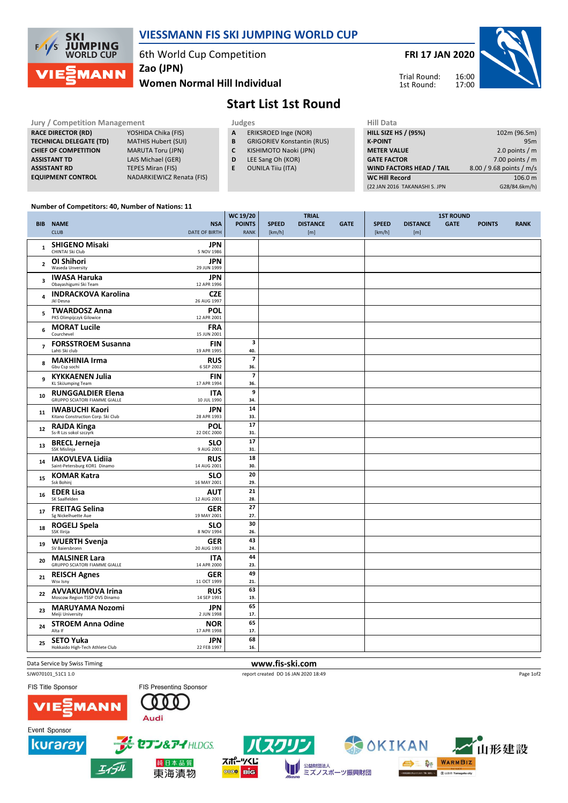

## VIESSMANN FIS SKI JUMPING WORLD CUP

6th World Cup Competition

Women Normal Hill Individual Zao (JPN)

# FRI 17 JAN 2020



Trial Round: 1st Round:



| <b>Jury / Competition Management</b> |                            |  |   | Judges                            | <b>Hill Data</b>   |
|--------------------------------------|----------------------------|--|---|-----------------------------------|--------------------|
| <b>RACE DIRECTOR (RD)</b>            | YOSHIDA Chika (FIS)        |  | A | ERIKSROED Inge (NOR)              | <b>HILL SIZE H</b> |
| <b>TECHNICAL DELEGATE (TD)</b>       | <b>MATHIS Hubert (SUI)</b> |  | B | <b>GRIGORIEV Konstantin (RUS)</b> | <b>K-POINT</b>     |
| <b>CHIEF OF COMPETITION</b>          | <b>MARUTA Toru (JPN)</b>   |  |   | KISHIMOTO Naoki (JPN)             | <b>METER VA</b>    |
| <b>ASSISTANT TD</b>                  | LAIS Michael (GER)         |  | D | LEE Sang Oh (KOR)                 | <b>GATE FACT</b>   |
| <b>ASSISTANT RD</b>                  | <b>TEPES Miran (FIS)</b>   |  |   | <b>OUNILA Tiiu (ITA)</b>          | <b>WIND FAC</b>    |
| <b>EQUIPMENT CONTROL</b>             | NADARKIEWICZ Renata (FIS)  |  |   |                                   | <b>WC Hill Re</b>  |

- A ERIKSROED Inge (NOR)
- **B** GRIGORIEV Konstantin (RUS)<br>**C** KISHIMOTO Naoki (JPN)
- KISHIMOTO Naoki (JPN)
- D LEE Sang Oh (KOR)
- E OUNILA Tiiu (ITA)
- HILL SIZE HS / (95%) 102m (96.5m) K-POINT 95m<br>
METER VALUE 2.0 points / m  $2.0$  points / m GATE FACTOR 7.00 points / m WIND FACTORS HEAD / TAIL 8.00 / 9.68 points / m/s WC Hill Record 106.0 m (22 JAN 2016 TAKANASHI S. JPN G28/84.6km/h)

#### Number of Competitors: 40, Number of Nations: 11

|                         |                                                                                               | WC 19/20                       |              | <b>TRIAL</b>    |             | <b>1ST ROUND</b> |                 |             |               |             |
|-------------------------|-----------------------------------------------------------------------------------------------|--------------------------------|--------------|-----------------|-------------|------------------|-----------------|-------------|---------------|-------------|
|                         | <b>BIB NAME</b><br><b>NSA</b>                                                                 | <b>POINTS</b>                  | <b>SPEED</b> | <b>DISTANCE</b> | <b>GATE</b> | <b>SPEED</b>     | <b>DISTANCE</b> | <b>GATE</b> | <b>POINTS</b> | <b>RANK</b> |
|                         | <b>CLUB</b><br>DATE OF BIRTH                                                                  | <b>RANK</b>                    | [km/h]       | [m]             |             | [km/h]           | [m]             |             |               |             |
| $\mathbf{1}$            | <b>SHIGENO Misaki</b><br><b>JPN</b><br>CHINTAI Ski Club<br>5 NOV 1986                         |                                |              |                 |             |                  |                 |             |               |             |
| $\overline{2}$          | <b>JPN</b><br>OI Shihori<br>Waseda Unversity<br>29 JUN 1999                                   |                                |              |                 |             |                  |                 |             |               |             |
| $\overline{\mathbf{3}}$ | <b>IWASA Haruka</b><br><b>JPN</b><br>Obayashigumi Ski Team<br>12 APR 1996                     |                                |              |                 |             |                  |                 |             |               |             |
| 4                       | <b>INDRACKOVA Karolina</b><br><b>CZE</b><br>Jkl Desna<br>26 AUG 1997                          |                                |              |                 |             |                  |                 |             |               |             |
| 5                       | <b>TWARDOSZ Anna</b><br><b>POL</b><br>PKS Olimpijczyk Gilowice<br>12 APR 2001                 |                                |              |                 |             |                  |                 |             |               |             |
| 6                       | <b>MORAT Lucile</b><br><b>FRA</b><br>Courchevel<br>15 JUN 2001                                |                                |              |                 |             |                  |                 |             |               |             |
| $\overline{7}$          | <b>FORSSTROEM Susanna</b><br><b>FIN</b><br>Lahti Ski club<br>19 APR 1995                      | $\overline{\mathbf{3}}$<br>40. |              |                 |             |                  |                 |             |               |             |
| 8                       | <b>RUS</b><br><b>MAKHINIA Irma</b><br>Gbu Csp sochi<br>6 SEP 2002                             | $\overline{7}$<br>36.          |              |                 |             |                  |                 |             |               |             |
| 9                       | <b>KYKKAENEN Julia</b><br><b>FIN</b><br><b>KL SkiJumping Team</b><br>17 APR 1994              | $\overline{\mathbf{z}}$<br>36. |              |                 |             |                  |                 |             |               |             |
| 10                      | <b>RUNGGALDIER Elena</b><br><b>ITA</b><br><b>GRUPPO SCIATORI FIAMME GIALLE</b><br>10 JUL 1990 | 9<br>34.                       |              |                 |             |                  |                 |             |               |             |
| 11                      | <b>JPN</b><br><b>IWABUCHI Kaori</b><br>Kitano Construction Corp. Ski Club<br>28 APR 1993      | 14<br>33.                      |              |                 |             |                  |                 |             |               |             |
| 12                      | <b>POL</b><br><b>RAJDA Kinga</b><br>Ss-R Lzs sokol szczyrk<br>22 DEC 2000                     | 17<br>31.                      |              |                 |             |                  |                 |             |               |             |
| 13                      | <b>BRECL Jerneja</b><br><b>SLO</b><br>SSK Mislinja<br>9 AUG 2001                              | 17<br>31.                      |              |                 |             |                  |                 |             |               |             |
| 14                      | <b>IAKOVLEVA Lidiia</b><br><b>RUS</b><br>Saint-Petersburg KOR1 Dinamo<br>14 AUG 2001          | 18<br>30.                      |              |                 |             |                  |                 |             |               |             |
| 15                      | <b>KOMAR Katra</b><br><b>SLO</b><br>Ssk Bohinj<br>16 MAY 2001                                 | 20<br>29.                      |              |                 |             |                  |                 |             |               |             |
| 16                      | <b>EDER Lisa</b><br>AUT<br>SK Saalfelden<br>12 AUG 2001                                       | 21<br>28.                      |              |                 |             |                  |                 |             |               |             |
| 17                      | <b>FREITAG Selina</b><br><b>GER</b><br>Sg Nickelhuette Aue<br>19 MAY 2001                     | 27<br>27.                      |              |                 |             |                  |                 |             |               |             |
| 18                      | ROGELJ Spela<br><b>SLO</b><br>SSK Ilirija<br>8 NOV 1994                                       | 30<br>26.                      |              |                 |             |                  |                 |             |               |             |
| 19                      | <b>WUERTH Svenja</b><br><b>GER</b><br>SV Baiersbronn<br>20 AUG 1993                           | 43<br>24.                      |              |                 |             |                  |                 |             |               |             |
| 20                      | <b>MALSINER Lara</b><br><b>ITA</b><br><b>GRUPPO SCIATORI FIAMME GIALLE</b><br>14 APR 2000     | 44<br>23.                      |              |                 |             |                  |                 |             |               |             |
| 21                      | <b>GER</b><br><b>REISCH Agnes</b><br>Wsv Isny<br>11 OCT 1999                                  | 49<br>21.                      |              |                 |             |                  |                 |             |               |             |
| 22                      | <b>RUS</b><br><b>AVVAKUMOVA Irina</b><br>Moscow Region TSSP OVS Dinamo<br>14 SEP 1991         | 63<br>19.                      |              |                 |             |                  |                 |             |               |             |
| 23                      | <b>MARUYAMA Nozomi</b><br><b>JPN</b><br>Meiji University<br>2 JUN 1998                        | 65<br>17.                      |              |                 |             |                  |                 |             |               |             |
| 24                      | <b>STROEM Anna Odine</b><br><b>NOR</b><br>Alta If<br>17 APR 1998                              | 65<br>17.                      |              |                 |             |                  |                 |             |               |             |
| 25                      | <b>JPN</b><br><b>SETO Yuka</b><br>Hokkaido High-Tech Athlete Club<br>22 FEB 1997              | 68<br>16.                      |              |                 |             |                  |                 |             |               |             |

Event Sponsor

Data Service by Swiss Timing **www.fis-ski.com** 

SJW070101\_51C1 1.0 report created DO 16 JAN 2020 18:49 FIS Title Sponsor

**MANN** 





純日本品質 東海漬物

スポーツくじ

**0000 BIG** 

公益財団法人 W ミズノスポーツ振興財団



Page 1of2